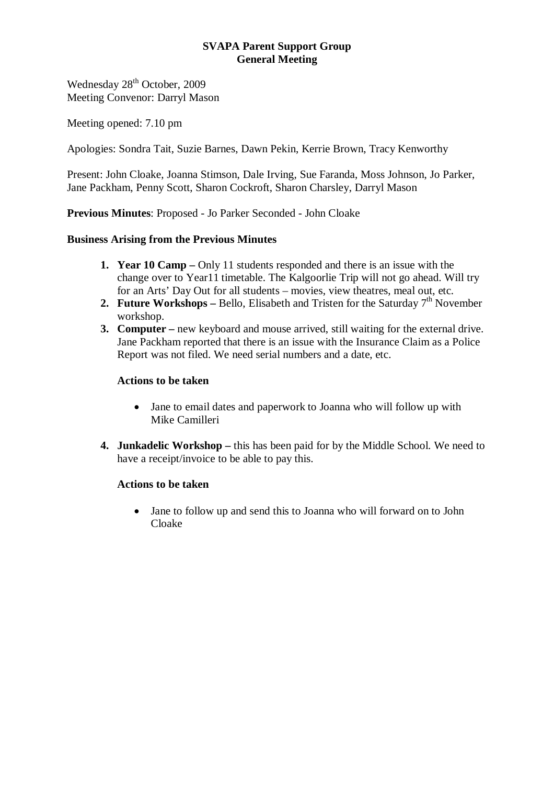# **SVAPA Parent Support Group General Meeting**

Wednesday 28<sup>th</sup> October, 2009 Meeting Convenor: Darryl Mason

Meeting opened: 7.10 pm

Apologies: Sondra Tait, Suzie Barnes, Dawn Pekin, Kerrie Brown, Tracy Kenworthy

Present: John Cloake, Joanna Stimson, Dale Irving, Sue Faranda, Moss Johnson, Jo Parker, Jane Packham, Penny Scott, Sharon Cockroft, Sharon Charsley, Darryl Mason

**Previous Minutes**: Proposed - Jo Parker Seconded - John Cloake

## **Business Arising from the Previous Minutes**

- **1. Year 10 Camp** Only 11 students responded and there is an issue with the change over to Year11 timetable. The Kalgoorlie Trip will not go ahead. Will try for an Arts' Day Out for all students – movies, view theatres, meal out, etc.
- **2. Future Workshops** Bello, Elisabeth and Tristen for the Saturday  $7<sup>th</sup>$  November workshop.
- **3. Computer** new keyboard and mouse arrived, still waiting for the external drive. Jane Packham reported that there is an issue with the Insurance Claim as a Police Report was not filed. We need serial numbers and a date, etc.

# **Actions to be taken**

- Jane to email dates and paperwork to Joanna who will follow up with Mike Camilleri
- **4. Junkadelic Workshop** this has been paid for by the Middle School. We need to have a receipt/invoice to be able to pay this.

#### **Actions to be taken**

• Jane to follow up and send this to Joanna who will forward on to John Cloake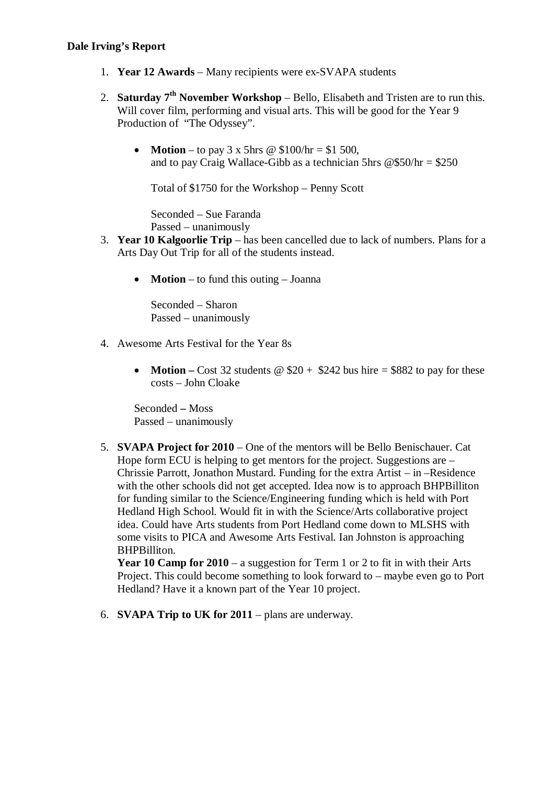#### **Dale Irving's Report**

- 1. **Year 12 Awards** Many recipients were ex-SVAPA students
- 2. **Saturday 7th November Workshop** Bello, Elisabeth and Tristen are to run this. Will cover film, performing and visual arts. This will be good for the Year 9 Production of "The Odyssey".
	- **Motion** to pay  $3 \times 5$ hrs @  $$100/hr = $1,500$ , and to pay Craig Wallace-Gibb as a technician 5hrs  $@$50/hr = $250$

Total of \$1750 for the Workshop – Penny Scott

Seconded – Sue Faranda Passed – unanimously

- 3. **Year 10 Kalgoorlie Trip** has been cancelled due to lack of numbers. Plans for a Arts Day Out Trip for all of the students instead.
	- **Motion** to fund this outing Joanna

Seconded – Sharon Passed – unanimously

- 4. Awesome Arts Festival for the Year 8s
	- **Motion** Cost 32 students  $\omega$  \$20 + \$242 bus hire = \$882 to pay for these costs – John Cloake

Seconded **–** Moss Passed – unanimously

5. **SVAPA Project for 2010** – One of the mentors will be Bello Benischauer. Cat Hope form ECU is helping to get mentors for the project. Suggestions are – Chrissie Parrott, Jonathon Mustard. Funding for the extra Artist – in –Residence with the other schools did not get accepted. Idea now is to approach BHPBilliton for funding similar to the Science/Engineering funding which is held with Port Hedland High School. Would fit in with the Science/Arts collaborative project idea. Could have Arts students from Port Hedland come down to MLSHS with some visits to PICA and Awesome Arts Festival. Ian Johnston is approaching BHPBilliton.

**Year 10 Camp for 2010** – a suggestion for Term 1 or 2 to fit in with their Arts Project. This could become something to look forward to – maybe even go to Port Hedland? Have it a known part of the Year 10 project.

6. **SVAPA Trip to UK for 2011** – plans are underway.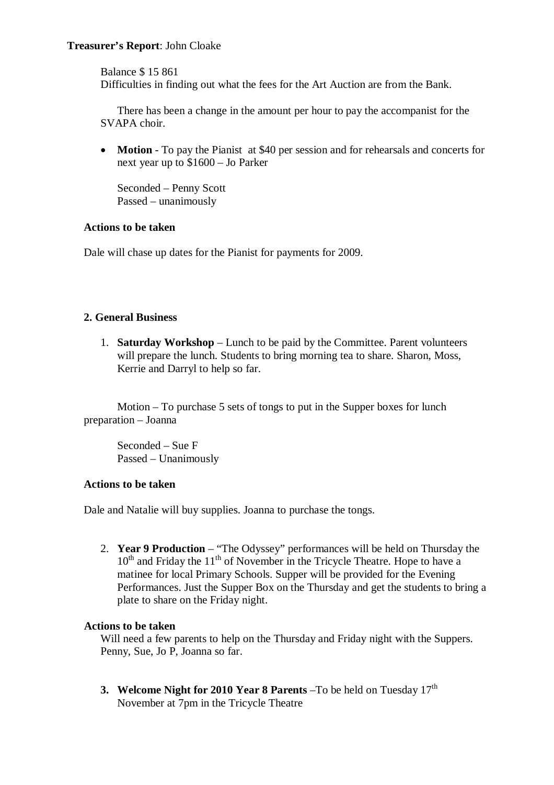## **Treasurer's Report**: John Cloake

Balance \$ 15 861

Difficulties in finding out what the fees for the Art Auction are from the Bank.

There has been a change in the amount per hour to pay the accompanist for the SVAPA choir.

• **Motion** - To pay the Pianist at \$40 per session and for rehearsals and concerts for next year up to \$1600 – Jo Parker

Seconded – Penny Scott Passed – unanimously

#### **Actions to be taken**

Dale will chase up dates for the Pianist for payments for 2009.

## **2. General Business**

1. **Saturday Workshop** – Lunch to be paid by the Committee. Parent volunteers will prepare the lunch. Students to bring morning tea to share. Sharon, Moss, Kerrie and Darryl to help so far.

Motion – To purchase 5 sets of tongs to put in the Supper boxes for lunch preparation – Joanna

Seconded – Sue F Passed – Unanimously

### **Actions to be taken**

Dale and Natalie will buy supplies. Joanna to purchase the tongs.

2. **Year 9 Production** – "The Odyssey" performances will be held on Thursday the  $10<sup>th</sup>$  and Friday the  $11<sup>th</sup>$  of November in the Tricycle Theatre. Hope to have a matinee for local Primary Schools. Supper will be provided for the Evening Performances. Just the Supper Box on the Thursday and get the students to bring a plate to share on the Friday night.

#### **Actions to be taken**

Will need a few parents to help on the Thursday and Friday night with the Suppers. Penny, Sue, Jo P, Joanna so far.

**3. Welcome Night for 2010 Year 8 Parents** –To be held on Tuesday 17<sup>th</sup> November at 7pm in the Tricycle Theatre